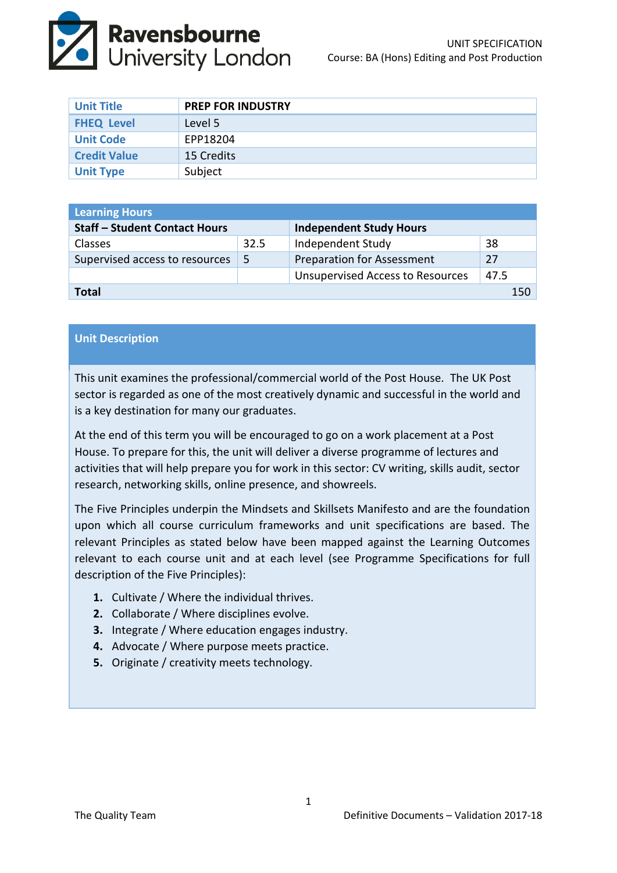

| <b>Unit Title</b>   | <b>PREP FOR INDUSTRY</b> |
|---------------------|--------------------------|
| <b>FHEQ Level</b>   | Level 5                  |
| <b>Unit Code</b>    | EPP18204                 |
| <b>Credit Value</b> | 15 Credits               |
| <b>Unit Type</b>    | Subject                  |

| <b>Learning Hours</b>                |      |                                         |      |  |  |
|--------------------------------------|------|-----------------------------------------|------|--|--|
| <b>Staff - Student Contact Hours</b> |      | <b>Independent Study Hours</b>          |      |  |  |
| <b>Classes</b>                       | 32.5 | Independent Study                       | 38   |  |  |
| Supervised access to resources       | -5   | <b>Preparation for Assessment</b>       | 27   |  |  |
|                                      |      | <b>Unsupervised Access to Resources</b> | 47.5 |  |  |
| Total<br>150                         |      |                                         |      |  |  |

### **Unit Description**

This unit examines the professional/commercial world of the Post House. The UK Post sector is regarded as one of the most creatively dynamic and successful in the world and is a key destination for many our graduates.

At the end of this term you will be encouraged to go on a work placement at a Post House. To prepare for this, the unit will deliver a diverse programme of lectures and activities that will help prepare you for work in this sector: CV writing, skills audit, sector research, networking skills, online presence, and showreels.

The Five Principles underpin the Mindsets and Skillsets Manifesto and are the foundation upon which all course curriculum frameworks and unit specifications are based. The relevant Principles as stated below have been mapped against the Learning Outcomes relevant to each course unit and at each level (see Programme Specifications for full description of the Five Principles):

- **1.** Cultivate / Where the individual thrives.
- **2.** Collaborate / Where disciplines evolve.
- **3.** Integrate / Where education engages industry.
- **4.** Advocate / Where purpose meets practice.
- **5.** Originate / creativity meets technology.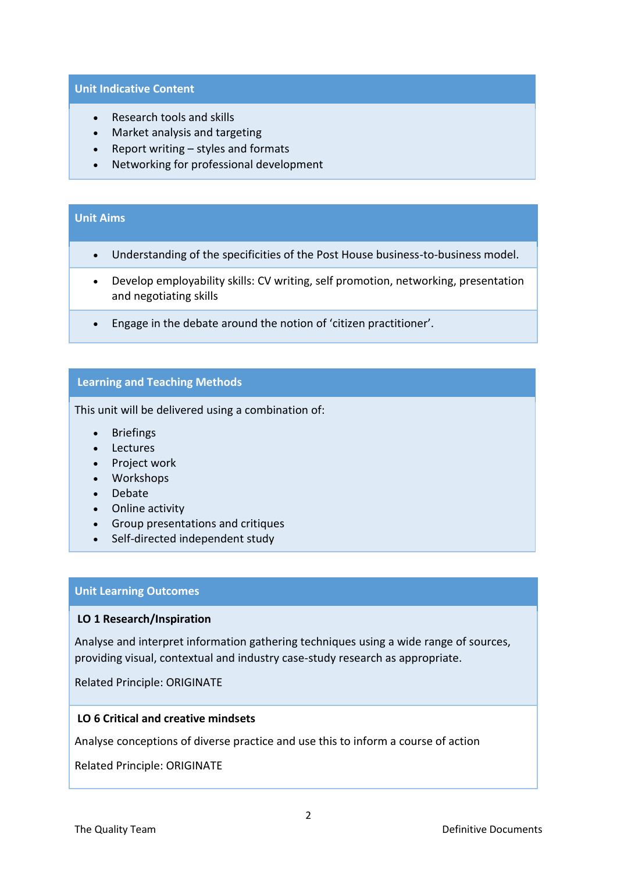#### **Unit Indicative Content**

- Research tools and skills
- Market analysis and targeting
- $\bullet$  Report writing styles and formats
- Networking for professional development

### **Unit Aims**

- Understanding of the specificities of the Post House business-to-business model.
- Develop employability skills: CV writing, self promotion, networking, presentation and negotiating skills
- Engage in the debate around the notion of 'citizen practitioner'.

# **Learning and Teaching Methods**

This unit will be delivered using a combination of:

- Briefings
- Lectures
- Project work
- Workshops
- Debate
- Online activity
- Group presentations and critiques
- Self-directed independent study

### **Unit Learning Outcomes**

#### **LO 1 Research/Inspiration**

Analyse and interpret information gathering techniques using a wide range of sources, providing visual, contextual and industry case-study research as appropriate.

Related Principle: ORIGINATE

### **LO 6 Critical and creative mindsets**

Analyse conceptions of diverse practice and use this to inform a course of action

Related Principle: ORIGINATE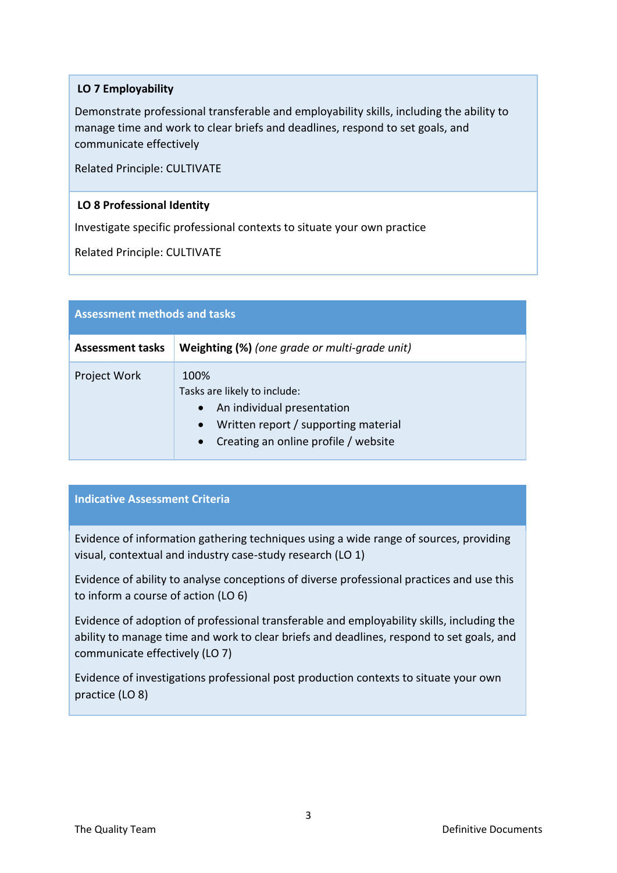## **LO 7 Employability**

Demonstrate professional transferable and employability skills, including the ability to manage time and work to clear briefs and deadlines, respond to set goals, and communicate effectively

Related Principle: CULTIVATE

## **LO 8 Professional Identity**

Investigate specific professional contexts to situate your own practice

Related Principle: CULTIVATE

| <b>Assessment methods and tasks</b> |                                                                                                                                                                                           |  |  |
|-------------------------------------|-------------------------------------------------------------------------------------------------------------------------------------------------------------------------------------------|--|--|
| <b>Assessment tasks</b>             | Weighting (%) (one grade or multi-grade unit)                                                                                                                                             |  |  |
| <b>Project Work</b>                 | 100%<br>Tasks are likely to include:<br>An individual presentation<br>$\bullet$<br>Written report / supporting material<br>$\bullet$<br>Creating an online profile / website<br>$\bullet$ |  |  |

# **Indicative Assessment Criteria**

Evidence of information gathering techniques using a wide range of sources, providing visual, contextual and industry case-study research (LO 1)

Evidence of ability to analyse conceptions of diverse professional practices and use this to inform a course of action (LO 6)

Evidence of adoption of professional transferable and employability skills, including the ability to manage time and work to clear briefs and deadlines, respond to set goals, and communicate effectively (LO 7)

Evidence of investigations professional post production contexts to situate your own practice (LO 8)